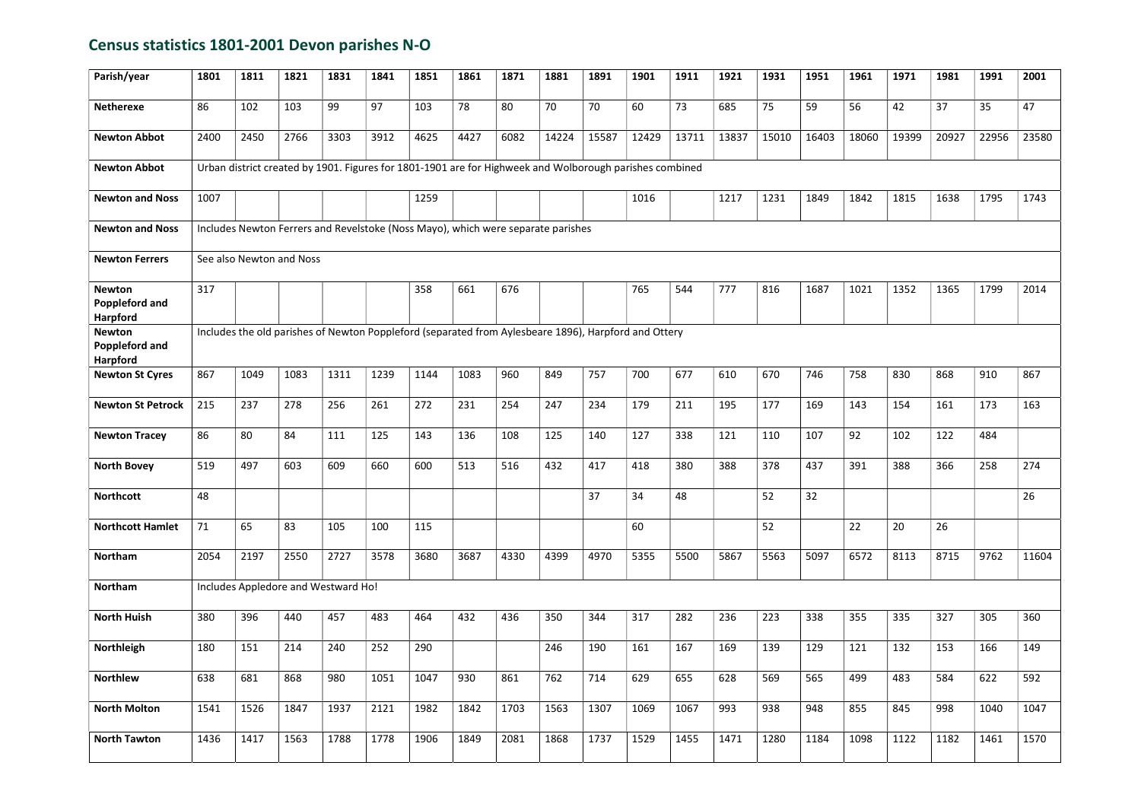## Census statistics 1801-2001 Devon parishes N-O

| Parish/year                                               | 1801                                                                                                 | 1811                                                                                                    | 1821                                | 1831 | 1841 | 1851 | 1861 | 1871 | 1881  | 1891  | 1901  | 1911  | 1921  | 1931  | 1951  | 1961  | 1971  | 1981  | 1991  | 2001  |
|-----------------------------------------------------------|------------------------------------------------------------------------------------------------------|---------------------------------------------------------------------------------------------------------|-------------------------------------|------|------|------|------|------|-------|-------|-------|-------|-------|-------|-------|-------|-------|-------|-------|-------|
| <b>Netherexe</b>                                          | 86                                                                                                   | 102                                                                                                     | 103                                 | 99   | 97   | 103  | 78   | 80   | 70    | 70    | 60    | 73    | 685   | 75    | 59    | 56    | 42    | 37    | 35    | 47    |
| <b>Newton Abbot</b>                                       | 2400                                                                                                 | 2450                                                                                                    | 2766                                | 3303 | 3912 | 4625 | 4427 | 6082 | 14224 | 15587 | 12429 | 13711 | 13837 | 15010 | 16403 | 18060 | 19399 | 20927 | 22956 | 23580 |
| <b>Newton Abbot</b>                                       |                                                                                                      | Urban district created by 1901. Figures for 1801-1901 are for Highweek and Wolborough parishes combined |                                     |      |      |      |      |      |       |       |       |       |       |       |       |       |       |       |       |       |
| <b>Newton and Noss</b>                                    | 1007                                                                                                 |                                                                                                         |                                     |      |      | 1259 |      |      |       |       | 1016  |       | 1217  | 1231  | 1849  | 1842  | 1815  | 1638  | 1795  | 1743  |
| <b>Newton and Noss</b>                                    |                                                                                                      | Includes Newton Ferrers and Revelstoke (Noss Mayo), which were separate parishes                        |                                     |      |      |      |      |      |       |       |       |       |       |       |       |       |       |       |       |       |
| <b>Newton Ferrers</b>                                     | See also Newton and Noss                                                                             |                                                                                                         |                                     |      |      |      |      |      |       |       |       |       |       |       |       |       |       |       |       |       |
| <b>Newton</b><br><b>Poppleford and</b><br><b>Harpford</b> | 317                                                                                                  |                                                                                                         |                                     |      |      | 358  | 661  | 676  |       |       | 765   | 544   | 777   | 816   | 1687  | 1021  | 1352  | 1365  | 1799  | 2014  |
| <b>Newton</b><br>Poppleford and<br>Harpford               | Includes the old parishes of Newton Poppleford (separated from Aylesbeare 1896), Harpford and Ottery |                                                                                                         |                                     |      |      |      |      |      |       |       |       |       |       |       |       |       |       |       |       |       |
| <b>Newton St Cyres</b>                                    | 867                                                                                                  | 1049                                                                                                    | 1083                                | 1311 | 1239 | 1144 | 1083 | 960  | 849   | 757   | 700   | 677   | 610   | 670   | 746   | 758   | 830   | 868   | 910   | 867   |
| <b>Newton St Petrock</b>                                  | 215                                                                                                  | 237                                                                                                     | 278                                 | 256  | 261  | 272  | 231  | 254  | 247   | 234   | 179   | 211   | 195   | 177   | 169   | 143   | 154   | 161   | 173   | 163   |
| <b>Newton Tracey</b>                                      | 86                                                                                                   | 80                                                                                                      | 84                                  | 111  | 125  | 143  | 136  | 108  | 125   | 140   | 127   | 338   | 121   | 110   | 107   | 92    | 102   | 122   | 484   |       |
| <b>North Bovey</b>                                        | 519                                                                                                  | 497                                                                                                     | 603                                 | 609  | 660  | 600  | 513  | 516  | 432   | 417   | 418   | 380   | 388   | 378   | 437   | 391   | 388   | 366   | 258   | 274   |
| <b>Northcott</b>                                          | 48                                                                                                   |                                                                                                         |                                     |      |      |      |      |      |       | 37    | 34    | 48    |       | 52    | 32    |       |       |       |       | 26    |
| <b>Northcott Hamlet</b>                                   | 71                                                                                                   | 65                                                                                                      | 83                                  | 105  | 100  | 115  |      |      |       |       | 60    |       |       | 52    |       | 22    | 20    | 26    |       |       |
| Northam                                                   | 2054                                                                                                 | 2197                                                                                                    | 2550                                | 2727 | 3578 | 3680 | 3687 | 4330 | 4399  | 4970  | 5355  | 5500  | 5867  | 5563  | 5097  | 6572  | 8113  | 8715  | 9762  | 11604 |
| Northam                                                   |                                                                                                      |                                                                                                         | Includes Appledore and Westward Ho! |      |      |      |      |      |       |       |       |       |       |       |       |       |       |       |       |       |
| <b>North Huish</b>                                        | 380                                                                                                  | 396                                                                                                     | 440                                 | 457  | 483  | 464  | 432  | 436  | 350   | 344   | 317   | 282   | 236   | 223   | 338   | 355   | 335   | 327   | 305   | 360   |
| Northleigh                                                | 180                                                                                                  | 151                                                                                                     | 214                                 | 240  | 252  | 290  |      |      | 246   | 190   | 161   | 167   | 169   | 139   | 129   | 121   | 132   | 153   | 166   | 149   |
| <b>Northlew</b>                                           | 638                                                                                                  | 681                                                                                                     | 868                                 | 980  | 1051 | 1047 | 930  | 861  | 762   | 714   | 629   | 655   | 628   | 569   | 565   | 499   | 483   | 584   | 622   | 592   |
| <b>North Molton</b>                                       | 1541                                                                                                 | 1526                                                                                                    | 1847                                | 1937 | 2121 | 1982 | 1842 | 1703 | 1563  | 1307  | 1069  | 1067  | 993   | 938   | 948   | 855   | 845   | 998   | 1040  | 1047  |
| <b>North Tawton</b>                                       | 1436                                                                                                 | 1417                                                                                                    | 1563                                | 1788 | 1778 | 1906 | 1849 | 2081 | 1868  | 1737  | 1529  | 1455  | 1471  | 1280  | 1184  | 1098  | 1122  | 1182  | 1461  | 1570  |